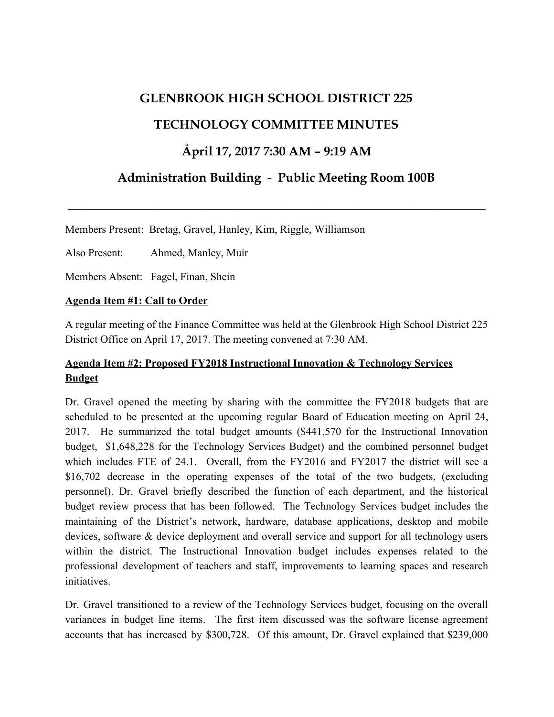## **GLENBROOK HIGH SCHOOL DISTRICT 225**

## **TECHNOLOGY COMMITTEE MINUTES**

## **Åpril 17, 2017 7:30 AM – 9:19 AM**

# **Administration Building - Public Meeting Room 100B**

**\_\_\_\_\_\_\_\_\_\_\_\_\_\_\_\_\_\_\_\_\_\_\_\_\_\_\_\_\_\_\_\_\_\_\_\_\_\_\_\_\_\_\_\_\_\_\_\_\_\_\_\_\_\_\_\_\_\_\_\_\_\_\_\_\_\_**

Members Present: Bretag, Gravel, Hanley, Kim, Riggle, Williamson

Also Present: Ahmed, Manley, Muir

Members Absent: Fagel, Finan, Shein

### **Agenda Item #1: Call to Order**

A regular meeting of the Finance Committee was held at the Glenbrook High School District 225 District Office on April 17, 2017. The meeting convened at 7:30 AM.

### **Agenda Item #2: Proposed FY2018 Instructional Innovation & Technology Services Budget**

Dr. Gravel opened the meeting by sharing with the committee the FY2018 budgets that are scheduled to be presented at the upcoming regular Board of Education meeting on April 24, 2017. He summarized the total budget amounts (\$441,570 for the Instructional Innovation budget, \$1,648,228 for the Technology Services Budget) and the combined personnel budget which includes FTE of 24.1. Overall, from the FY2016 and FY2017 the district will see a \$16,702 decrease in the operating expenses of the total of the two budgets, (excluding personnel). Dr. Gravel briefly described the function of each department, and the historical budget review process that has been followed. The Technology Services budget includes the maintaining of the District's network, hardware, database applications, desktop and mobile devices, software & device deployment and overall service and support for all technology users within the district. The Instructional Innovation budget includes expenses related to the professional development of teachers and staff, improvements to learning spaces and research *initiatives* 

Dr. Gravel transitioned to a review of the Technology Services budget, focusing on the overall variances in budget line items. The first item discussed was the software license agreement accounts that has increased by \$300,728. Of this amount, Dr. Gravel explained that \$239,000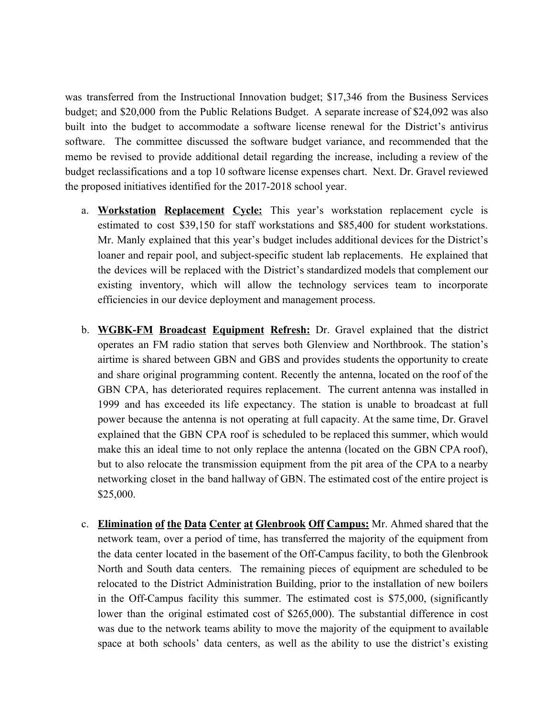was transferred from the Instructional Innovation budget; \$17,346 from the Business Services budget; and \$20,000 from the Public Relations Budget. A separate increase of \$24,092 was also built into the budget to accommodate a software license renewal for the District's antivirus software. The committee discussed the software budget variance, and recommended that the memo be revised to provide additional detail regarding the increase, including a review of the budget reclassifications and a top 10 software license expenses chart. Next. Dr. Gravel reviewed the proposed initiatives identified for the 2017-2018 school year.

- a. **Workstation Replacement Cycle:** This year's workstation replacement cycle is estimated to cost \$39,150 for staff workstations and \$85,400 for student workstations. Mr. Manly explained that this year's budget includes additional devices for the District's loaner and repair pool, and subject-specific student lab replacements. He explained that the devices will be replaced with the District's standardized models that complement our existing inventory, which will allow the technology services team to incorporate efficiencies in our device deployment and management process.
- b. **WGBK-FM Broadcast Equipment Refresh:** Dr. Gravel explained that the district operates an FM radio station that serves both Glenview and Northbrook. The station's airtime is shared between GBN and GBS and provides students the opportunity to create and share original programming content. Recently the antenna, located on the roof of the GBN CPA, has deteriorated requires replacement. The current antenna was installed in 1999 and has exceeded its life expectancy. The station is unable to broadcast at full power because the antenna is not operating at full capacity. At the same time, Dr. Gravel explained that the GBN CPA roof is scheduled to be replaced this summer, which would make this an ideal time to not only replace the antenna (located on the GBN CPA roof), but to also relocate the transmission equipment from the pit area of the CPA to a nearby networking closet in the band hallway of GBN. The estimated cost of the entire project is \$25,000.
- c. **Elimination of the Data Center at Glenbrook Off Campus:** Mr. Ahmed shared that the network team, over a period of time, has transferred the majority of the equipment from the data center located in the basement of the Off-Campus facility, to both the Glenbrook North and South data centers. The remaining pieces of equipment are scheduled to be relocated to the District Administration Building, prior to the installation of new boilers in the Off-Campus facility this summer. The estimated cost is \$75,000, (significantly lower than the original estimated cost of \$265,000). The substantial difference in cost was due to the network teams ability to move the majority of the equipment to available space at both schools' data centers, as well as the ability to use the district's existing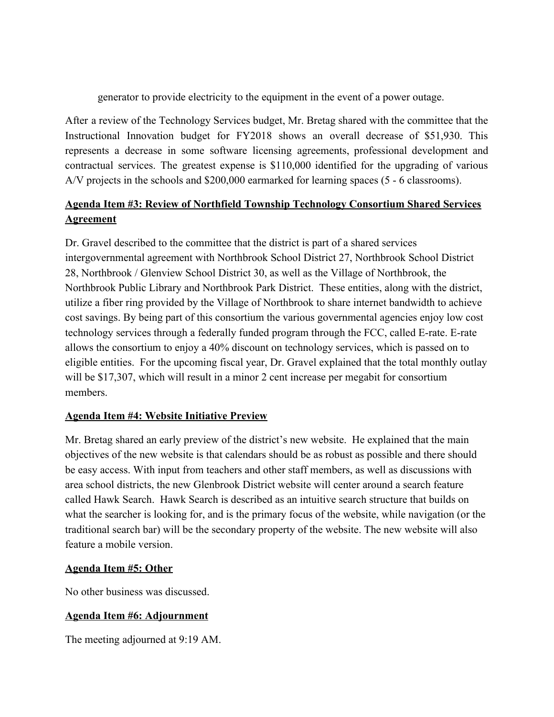generator to provide electricity to the equipment in the event of a power outage.

After a review of the Technology Services budget, Mr. Bretag shared with the committee that the Instructional Innovation budget for FY2018 shows an overall decrease of \$51,930. This represents a decrease in some software licensing agreements, professional development and contractual services. The greatest expense is \$110,000 identified for the upgrading of various A/V projects in the schools and \$200,000 earmarked for learning spaces (5 - 6 classrooms).

## **Agenda Item #3: Review of Northfield Township Technology Consortium Shared Services Agreement**

Dr. Gravel described to the committee that the district is part of a shared services intergovernmental agreement with Northbrook School District 27, Northbrook School District 28, Northbrook / Glenview School District 30, as well as the Village of Northbrook, the Northbrook Public Library and Northbrook Park District. These entities, along with the district, utilize a fiber ring provided by the Village of Northbrook to share internet bandwidth to achieve cost savings. By being part of this consortium the various governmental agencies enjoy low cost technology services through a federally funded program through the FCC, called E-rate. E-rate allows the consortium to enjoy a 40% discount on technology services, which is passed on to eligible entities. For the upcoming fiscal year, Dr. Gravel explained that the total monthly outlay will be \$17,307, which will result in a minor 2 cent increase per megabit for consortium members.

### **Agenda Item #4: Website Initiative Preview**

Mr. Bretag shared an early preview of the district's new website. He explained that the main objectives of the new website is that calendars should be as robust as possible and there should be easy access. With input from teachers and other staff members, as well as discussions with area school districts, the new Glenbrook District website will center around a search feature called Hawk Search. Hawk Search is described as an intuitive search structure that builds on what the searcher is looking for, and is the primary focus of the website, while navigation (or the traditional search bar) will be the secondary property of the website. The new website will also feature a mobile version.

### **Agenda Item #5: Other**

No other business was discussed.

### **Agenda Item #6: Adjournment**

The meeting adjourned at 9:19 AM.